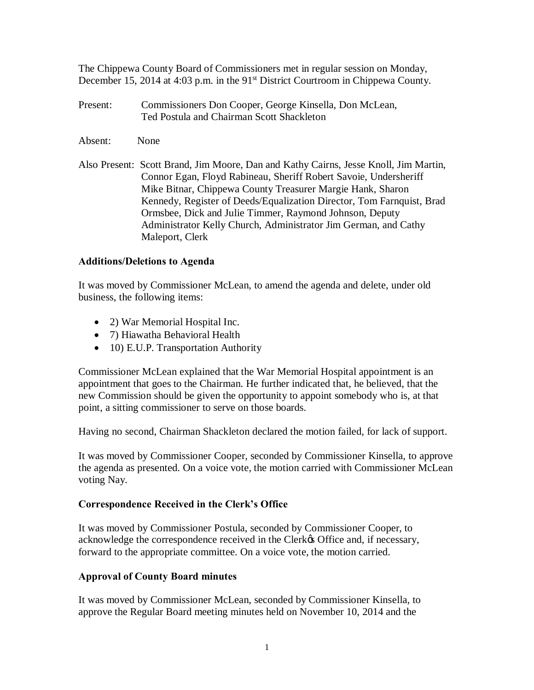The Chippewa County Board of Commissioners met in regular session on Monday, December 15, 2014 at 4:03 p.m. in the 91<sup>st</sup> District Courtroom in Chippewa County.

- Present: Commissioners Don Cooper, George Kinsella, Don McLean, Ted Postula and Chairman Scott Shackleton
- Absent: None
- Also Present: Scott Brand, Jim Moore, Dan and Kathy Cairns, Jesse Knoll, Jim Martin, Connor Egan, Floyd Rabineau, Sheriff Robert Savoie, Undersheriff Mike Bitnar, Chippewa County Treasurer Margie Hank, Sharon Kennedy, Register of Deeds/Equalization Director, Tom Farnquist, Brad Ormsbee, Dick and Julie Timmer, Raymond Johnson, Deputy Administrator Kelly Church, Administrator Jim German, and Cathy Maleport, Clerk

#### **Additions/Deletions to Agenda**

It was moved by Commissioner McLean, to amend the agenda and delete, under old business, the following items:

- · 2) War Memorial Hospital Inc.
- · 7) Hiawatha Behavioral Health
- 10) E.U.P. Transportation Authority

Commissioner McLean explained that the War Memorial Hospital appointment is an appointment that goes to the Chairman. He further indicated that, he believed, that the new Commission should be given the opportunity to appoint somebody who is, at that point, a sitting commissioner to serve on those boards.

Having no second, Chairman Shackleton declared the motion failed, for lack of support.

It was moved by Commissioner Cooper, seconded by Commissioner Kinsella, to approve the agenda as presented. On a voice vote, the motion carried with Commissioner McLean voting Nay.

## **Correspondence Received in the Clerk's Office**

It was moved by Commissioner Postula, seconded by Commissioner Cooper, to acknowledge the correspondence received in the Clerk $\alpha$  Office and, if necessary, forward to the appropriate committee. On a voice vote, the motion carried.

## **Approval of County Board minutes**

It was moved by Commissioner McLean, seconded by Commissioner Kinsella, to approve the Regular Board meeting minutes held on November 10, 2014 and the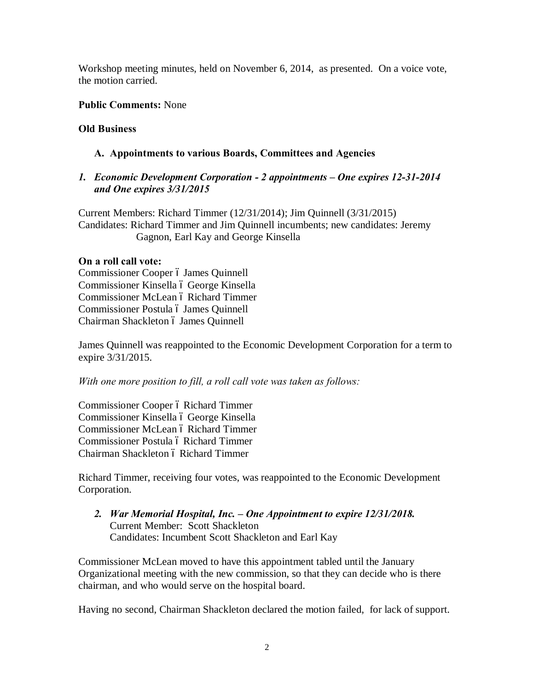Workshop meeting minutes, held on November 6, 2014, as presented. On a voice vote, the motion carried.

#### **Public Comments:** None

#### **Old Business**

## **A. Appointments to various Boards, Committees and Agencies**

#### *1. Economic Development Corporation - 2 appointments – One expires 12-31-2014 and One expires 3/31/2015*

Current Members: Richard Timmer (12/31/2014); Jim Quinnell (3/31/2015) Candidates: Richard Timmer and Jim Quinnell incumbents; new candidates: Jeremy Gagnon, Earl Kay and George Kinsella

#### **On a roll call vote:**

Commissioner Cooper ó James Quinnell Commissioner Kinsella ó George Kinsella Commissioner McLean ó Richard Timmer Commissioner Postula ó James Quinnell Chairman Shackleton ó James Quinnell

James Quinnell was reappointed to the Economic Development Corporation for a term to expire 3/31/2015.

*With one more position to fill, a roll call vote was taken as follows:*

Commissioner Cooper ó Richard Timmer Commissioner Kinsella ó George Kinsella Commissioner McLean ó Richard Timmer Commissioner Postula ó Richard Timmer Chairman Shackleton ó Richard Timmer

Richard Timmer, receiving four votes, was reappointed to the Economic Development Corporation.

*2. War Memorial Hospital, Inc. – One Appointment to expire 12/31/2018.* Current Member: Scott Shackleton Candidates: Incumbent Scott Shackleton and Earl Kay

Commissioner McLean moved to have this appointment tabled until the January Organizational meeting with the new commission, so that they can decide who is there chairman, and who would serve on the hospital board.

Having no second, Chairman Shackleton declared the motion failed, for lack of support.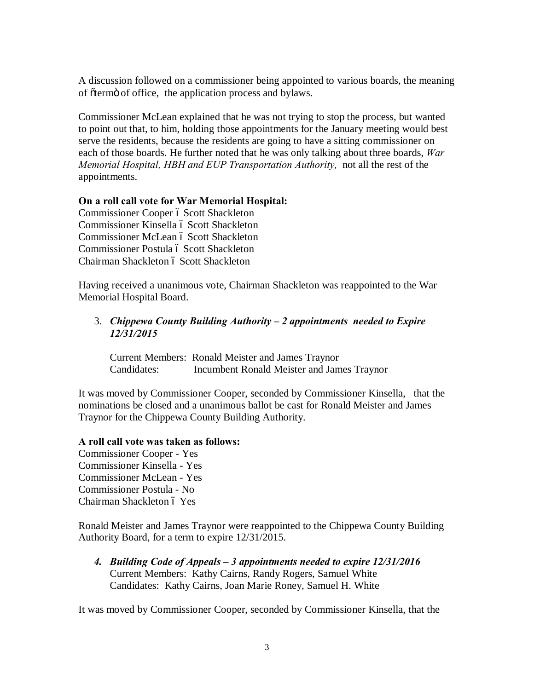A discussion followed on a commissioner being appointed to various boards, the meaning of õtermö of office, the application process and bylaws.

Commissioner McLean explained that he was not trying to stop the process, but wanted to point out that, to him, holding those appointments for the January meeting would best serve the residents, because the residents are going to have a sitting commissioner on each of those boards. He further noted that he was only talking about three boards, *War Memorial Hospital, HBH and EUP Transportation Authority,* not all the rest of the appointments.

#### **On a roll call vote for War Memorial Hospital:**

Commissioner Cooper ó Scott Shackleton Commissioner Kinsella ó Scott Shackleton Commissioner McLean ó Scott Shackleton Commissioner Postula ó Scott Shackleton Chairman Shackleton ó Scott Shackleton

Having received a unanimous vote, Chairman Shackleton was reappointed to the War Memorial Hospital Board.

#### 3. *Chippewa County Building Authority – 2 appointments needed to Expire 12/31/2015*

Current Members: Ronald Meister and James Traynor Candidates: Incumbent Ronald Meister and James Traynor

It was moved by Commissioner Cooper, seconded by Commissioner Kinsella, that the nominations be closed and a unanimous ballot be cast for Ronald Meister and James Traynor for the Chippewa County Building Authority.

#### **A roll call vote was taken as follows:**

Commissioner Cooper - Yes Commissioner Kinsella - Yes Commissioner McLean - Yes Commissioner Postula - No Chairman Shackleton ó Yes

Ronald Meister and James Traynor were reappointed to the Chippewa County Building Authority Board, for a term to expire 12/31/2015.

*4. Building Code of Appeals – 3 appointments needed to expire 12/31/2016* Current Members: Kathy Cairns, Randy Rogers, Samuel White Candidates: Kathy Cairns, Joan Marie Roney, Samuel H. White

It was moved by Commissioner Cooper, seconded by Commissioner Kinsella, that the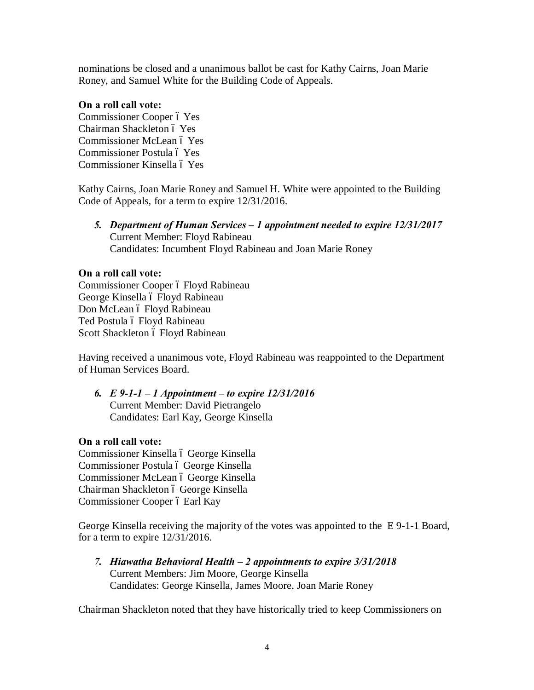nominations be closed and a unanimous ballot be cast for Kathy Cairns, Joan Marie Roney, and Samuel White for the Building Code of Appeals.

#### **On a roll call vote:**

Commissioner Cooper ó Yes Chairman Shackleton ó Yes Commissioner McLean ó Yes Commissioner Postula ó Yes Commissioner Kinsella ó Yes

Kathy Cairns, Joan Marie Roney and Samuel H. White were appointed to the Building Code of Appeals, for a term to expire 12/31/2016.

*5. Department of Human Services – 1 appointment needed to expire 12/31/2017* Current Member: Floyd Rabineau Candidates: Incumbent Floyd Rabineau and Joan Marie Roney

## **On a roll call vote:**

Commissioner Cooper ó Floyd Rabineau George Kinsella ó Floyd Rabineau Don McLean ó Floyd Rabineau Ted Postula ó Floyd Rabineau Scott Shackleton ó Floyd Rabineau

Having received a unanimous vote, Floyd Rabineau was reappointed to the Department of Human Services Board.

*6. E 9-1-1 – 1 Appointment – to expire 12/31/2016* Current Member: David Pietrangelo Candidates: Earl Kay, George Kinsella

## **On a roll call vote:**

Commissioner Kinsella ó George Kinsella Commissioner Postula ó George Kinsella Commissioner McLean ó George Kinsella Chairman Shackleton ó George Kinsella Commissioner Cooper ó Earl Kay

George Kinsella receiving the majority of the votes was appointed to the E 9-1-1 Board, for a term to expire 12/31/2016.

*7. Hiawatha Behavioral Health – 2 appointments to expire 3/31/2018* Current Members: Jim Moore, George Kinsella Candidates: George Kinsella, James Moore, Joan Marie Roney

Chairman Shackleton noted that they have historically tried to keep Commissioners on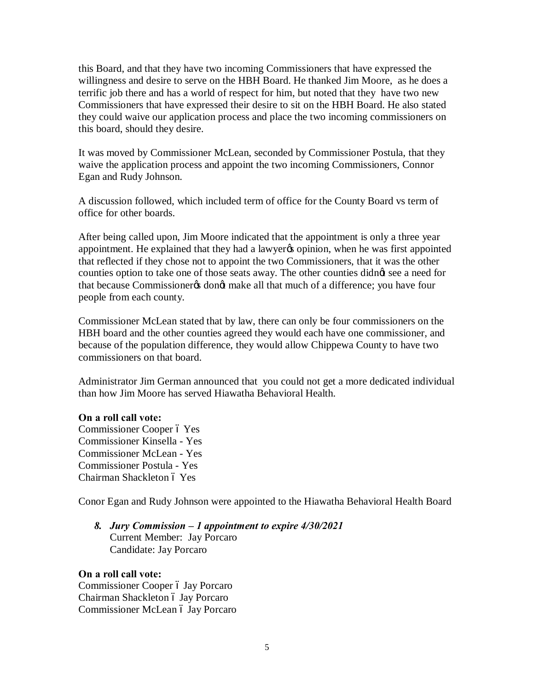this Board, and that they have two incoming Commissioners that have expressed the willingness and desire to serve on the HBH Board. He thanked Jim Moore, as he does a terrific job there and has a world of respect for him, but noted that they have two new Commissioners that have expressed their desire to sit on the HBH Board. He also stated they could waive our application process and place the two incoming commissioners on this board, should they desire.

It was moved by Commissioner McLean, seconded by Commissioner Postula, that they waive the application process and appoint the two incoming Commissioners, Connor Egan and Rudy Johnson.

A discussion followed, which included term of office for the County Board vs term of office for other boards.

After being called upon, Jim Moore indicated that the appointment is only a three year appointment. He explained that they had a lawyer is opinion, when he was first appointed that reflected if they chose not to appoint the two Commissioners, that it was the other counties option to take one of those seats away. The other counties didnet see a need for that because Commissioner & dongt make all that much of a difference; you have four people from each county.

Commissioner McLean stated that by law, there can only be four commissioners on the HBH board and the other counties agreed they would each have one commissioner, and because of the population difference, they would allow Chippewa County to have two commissioners on that board.

Administrator Jim German announced that you could not get a more dedicated individual than how Jim Moore has served Hiawatha Behavioral Health.

#### **On a roll call vote:**

Commissioner Cooper ó Yes Commissioner Kinsella - Yes Commissioner McLean - Yes Commissioner Postula - Yes Chairman Shackleton ó Yes

Conor Egan and Rudy Johnson were appointed to the Hiawatha Behavioral Health Board

*8. Jury Commission – 1 appointment to expire 4/30/2021* Current Member: Jay Porcaro Candidate: Jay Porcaro

#### **On a roll call vote:**

Commissioner Cooper ó Jay Porcaro Chairman Shackleton ó Jay Porcaro Commissioner McLean ó Jay Porcaro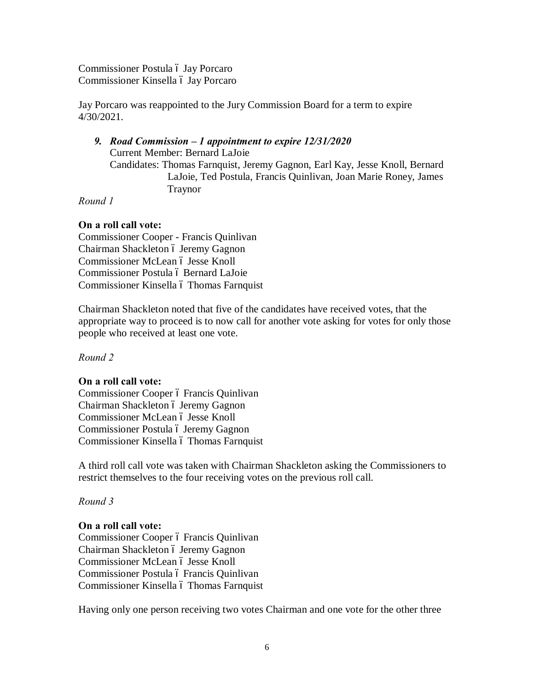Commissioner Postula ó Jay Porcaro Commissioner Kinsella ó Jay Porcaro

Jay Porcaro was reappointed to the Jury Commission Board for a term to expire 4/30/2021.

## *9. Road Commission – 1 appointment to expire 12/31/2020* Current Member: Bernard LaJoie Candidates: Thomas Farnquist, Jeremy Gagnon, Earl Kay, Jesse Knoll, Bernard LaJoie, Ted Postula, Francis Quinlivan, Joan Marie Roney, James Traynor

*Round 1*

# **On a roll call vote:**

Commissioner Cooper - Francis Quinlivan Chairman Shackleton ó Jeremy Gagnon Commissioner McLean ó Jesse Knoll Commissioner Postula ó Bernard LaJoie Commissioner Kinsella ó Thomas Farnquist

Chairman Shackleton noted that five of the candidates have received votes, that the appropriate way to proceed is to now call for another vote asking for votes for only those people who received at least one vote.

*Round 2*

## **On a roll call vote:**

Commissioner Cooper ó Francis Quinlivan Chairman Shackleton ó Jeremy Gagnon Commissioner McLean ó Jesse Knoll Commissioner Postula ó Jeremy Gagnon Commissioner Kinsella ó Thomas Farnquist

A third roll call vote was taken with Chairman Shackleton asking the Commissioners to restrict themselves to the four receiving votes on the previous roll call.

*Round 3*

#### **On a roll call vote:**

Commissioner Cooper ó Francis Quinlivan Chairman Shackleton ó Jeremy Gagnon Commissioner McLean ó Jesse Knoll Commissioner Postula ó Francis Quinlivan Commissioner Kinsella ó Thomas Farnquist

Having only one person receiving two votes Chairman and one vote for the other three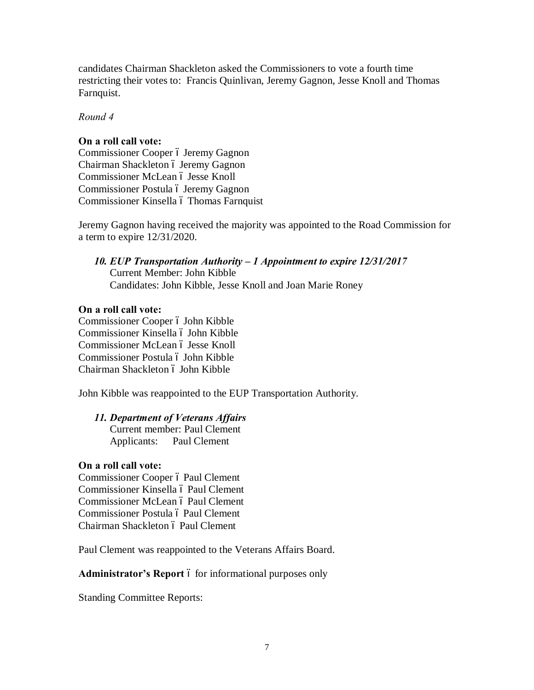candidates Chairman Shackleton asked the Commissioners to vote a fourth time restricting their votes to: Francis Quinlivan, Jeremy Gagnon, Jesse Knoll and Thomas Farnquist.

*Round 4*

## **On a roll call vote:**

Commissioner Cooper ó Jeremy Gagnon Chairman Shackleton ó Jeremy Gagnon Commissioner McLean ó Jesse Knoll Commissioner Postula ó Jeremy Gagnon Commissioner Kinsella ó Thomas Farnquist

Jeremy Gagnon having received the majority was appointed to the Road Commission for a term to expire 12/31/2020.

*10. EUP Transportation Authority – 1 Appointment to expire 12/31/2017* Current Member: John Kibble Candidates: John Kibble, Jesse Knoll and Joan Marie Roney

# **On a roll call vote:**

Commissioner Cooper ó John Kibble Commissioner Kinsella ó John Kibble Commissioner McLean ó Jesse Knoll Commissioner Postula ó John Kibble Chairman Shackleton ó John Kibble

John Kibble was reappointed to the EUP Transportation Authority.

## *11. Department of Veterans Affairs*

Current member: Paul Clement Applicants: Paul Clement

## **On a roll call vote:**

Commissioner Cooper ó Paul Clement Commissioner Kinsella ó Paul Clement Commissioner McLean ó Paul Clement Commissioner Postula ó Paul Clement Chairman Shackleton ó Paul Clement

Paul Clement was reappointed to the Veterans Affairs Board.

Administrator's Report 6 for informational purposes only

Standing Committee Reports: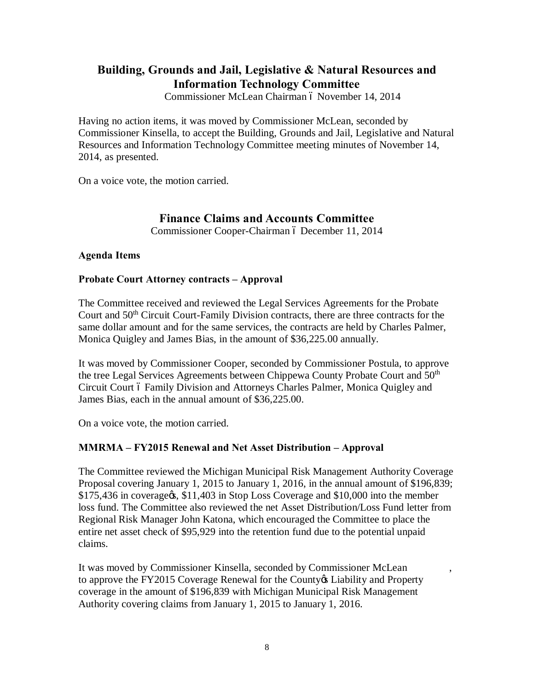# **Building, Grounds and Jail, Legislative & Natural Resources and Information Technology Committee**

Commissioner McLean Chairman ó November 14, 2014

Having no action items, it was moved by Commissioner McLean, seconded by Commissioner Kinsella, to accept the Building, Grounds and Jail, Legislative and Natural Resources and Information Technology Committee meeting minutes of November 14, 2014, as presented.

On a voice vote, the motion carried.

## **Finance Claims and Accounts Committee**

Commissioner Cooper-Chairman ó December 11, 2014

#### **Agenda Items**

#### **Probate Court Attorney contracts – Approval**

The Committee received and reviewed the Legal Services Agreements for the Probate Court and 50<sup>th</sup> Circuit Court-Family Division contracts, there are three contracts for the same dollar amount and for the same services, the contracts are held by Charles Palmer, Monica Quigley and James Bias, in the amount of \$36,225.00 annually.

It was moved by Commissioner Cooper, seconded by Commissioner Postula, to approve the tree Legal Services Agreements between Chippewa County Probate Court and 50<sup>th</sup> Circuit Court ó Family Division and Attorneys Charles Palmer, Monica Quigley and James Bias, each in the annual amount of \$36,225.00.

On a voice vote, the motion carried.

#### **MMRMA – FY2015 Renewal and Net Asset Distribution – Approval**

The Committee reviewed the Michigan Municipal Risk Management Authority Coverage Proposal covering January 1, 2015 to January 1, 2016, in the annual amount of \$196,839; \$175,436 in coverage (\$11,403 in Stop Loss Coverage and \$10,000 into the member loss fund. The Committee also reviewed the net Asset Distribution/Loss Fund letter from Regional Risk Manager John Katona, which encouraged the Committee to place the entire net asset check of \$95,929 into the retention fund due to the potential unpaid claims.

It was moved by Commissioner Kinsella, seconded by Commissioner McLean , to approve the FY2015 Coverage Renewal for the County & Liability and Property coverage in the amount of \$196,839 with Michigan Municipal Risk Management Authority covering claims from January 1, 2015 to January 1, 2016.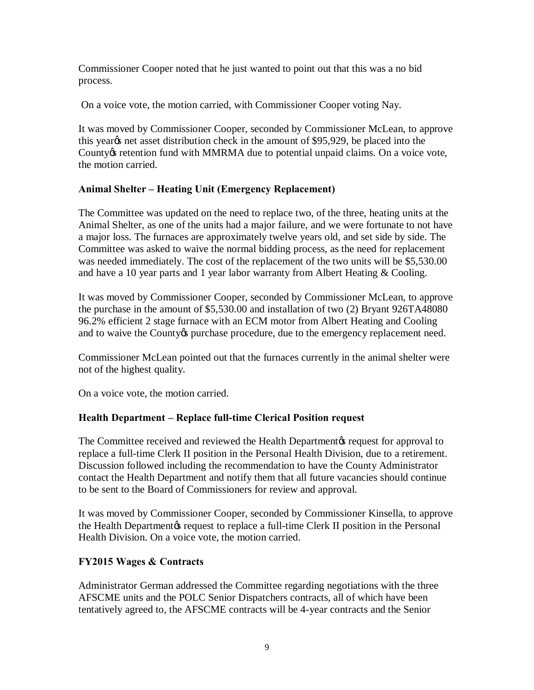Commissioner Cooper noted that he just wanted to point out that this was a no bid process.

On a voice vote, the motion carried, with Commissioner Cooper voting Nay.

It was moved by Commissioner Cooper, seconded by Commissioner McLean, to approve this yeargs net asset distribution check in the amount of \$95,929, be placed into the County *is* retention fund with MMRMA due to potential unpaid claims. On a voice vote, the motion carried.

# **Animal Shelter – Heating Unit (Emergency Replacement)**

The Committee was updated on the need to replace two, of the three, heating units at the Animal Shelter, as one of the units had a major failure, and we were fortunate to not have a major loss. The furnaces are approximately twelve years old, and set side by side. The Committee was asked to waive the normal bidding process, as the need for replacement was needed immediately. The cost of the replacement of the two units will be \$5,530.00 and have a 10 year parts and 1 year labor warranty from Albert Heating & Cooling.

It was moved by Commissioner Cooper, seconded by Commissioner McLean, to approve the purchase in the amount of \$5,530.00 and installation of two (2) Bryant 926TA48080 96.2% efficient 2 stage furnace with an ECM motor from Albert Heating and Cooling and to waive the County ts purchase procedure, due to the emergency replacement need.

Commissioner McLean pointed out that the furnaces currently in the animal shelter were not of the highest quality.

On a voice vote, the motion carried.

# **Health Department – Replace full-time Clerical Position request**

The Committee received and reviewed the Health Department to request for approval to replace a full-time Clerk II position in the Personal Health Division, due to a retirement. Discussion followed including the recommendation to have the County Administrator contact the Health Department and notify them that all future vacancies should continue to be sent to the Board of Commissioners for review and approval.

It was moved by Commissioner Cooper, seconded by Commissioner Kinsella, to approve the Health Department is request to replace a full-time Clerk II position in the Personal Health Division. On a voice vote, the motion carried.

## **FY2015 Wages & Contracts**

Administrator German addressed the Committee regarding negotiations with the three AFSCME units and the POLC Senior Dispatchers contracts, all of which have been tentatively agreed to, the AFSCME contracts will be 4-year contracts and the Senior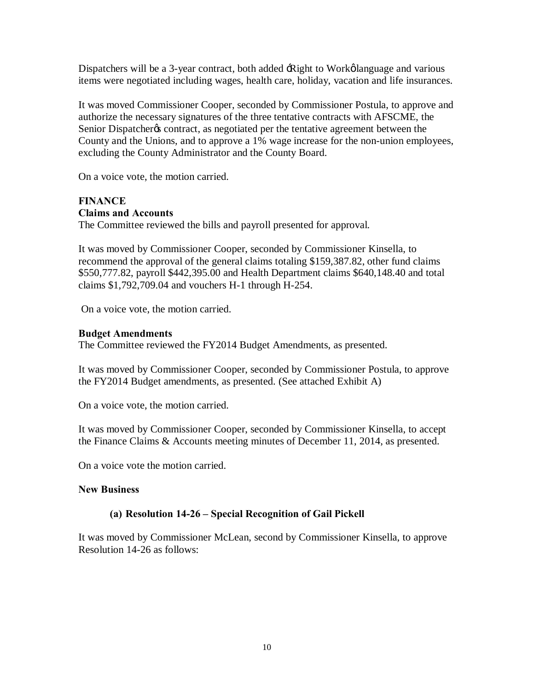Dispatchers will be a 3-year contract, both added -Right to Workølanguage and various items were negotiated including wages, health care, holiday, vacation and life insurances.

It was moved Commissioner Cooper, seconded by Commissioner Postula, to approve and authorize the necessary signatures of the three tentative contracts with AFSCME, the Senior Dispatcher ts contract, as negotiated per the tentative agreement between the County and the Unions, and to approve a 1% wage increase for the non-union employees, excluding the County Administrator and the County Board.

On a voice vote, the motion carried.

# **FINANCE**

#### **Claims and Accounts**

The Committee reviewed the bills and payroll presented for approval.

It was moved by Commissioner Cooper, seconded by Commissioner Kinsella, to recommend the approval of the general claims totaling \$159,387.82, other fund claims \$550,777.82, payroll \$442,395.00 and Health Department claims \$640,148.40 and total claims \$1,792,709.04 and vouchers H-1 through H-254.

On a voice vote, the motion carried.

#### **Budget Amendments**

The Committee reviewed the FY2014 Budget Amendments, as presented.

It was moved by Commissioner Cooper, seconded by Commissioner Postula, to approve the FY2014 Budget amendments, as presented. (See attached Exhibit A)

On a voice vote, the motion carried.

It was moved by Commissioner Cooper, seconded by Commissioner Kinsella, to accept the Finance Claims & Accounts meeting minutes of December 11, 2014, as presented.

On a voice vote the motion carried.

## **New Business**

## **(a) Resolution 14-26 – Special Recognition of Gail Pickell**

It was moved by Commissioner McLean, second by Commissioner Kinsella, to approve Resolution 14-26 as follows: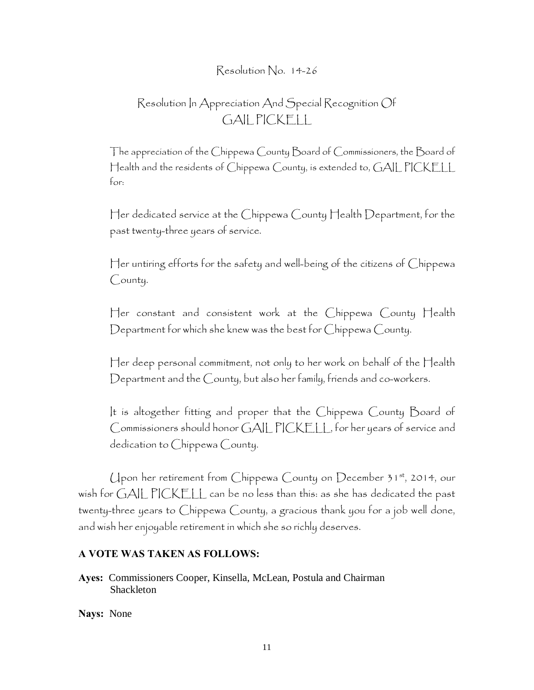# Resolution No. 14-26

# Resolution In Appreciation And Special Recognition Of GAIL PICKELL

The appreciation of the Chippewa County Board of Commissioners, the Board of Health and the residents of Chippewa County, is extended to, GAIL PICKELL for:

Her dedicated service at the Chippewa County Health Department, for the past twenty-three years of service.

Her untiring efforts for the safety and well-being of the citizens of Chippewa County.

Her constant and consistent work at the Chippewa County Health Department for which she knew was the best for Chippewa County.

Her deep personal commitment, not only to her work on behalf of the Health Department and the County, but also her family, friends and co-workers.

It is altogether fitting and proper that the Chippewa County Board of Commissioners should honor GAIL PICKELL, for her years of service and dedication to Chippewa County.

Upon her retirement from Chippewa County on December 31st, 2014, our wish for GAIL PICKELL can be no less than this: as she has dedicated the past twenty-three years to Chippewa County, a gracious thank you for a job well done, and wish her enjoyable retirement in which she so richly deserves.

#### **A VOTE WAS TAKEN AS FOLLOWS:**

**Ayes:** Commissioners Cooper, Kinsella, McLean, Postula and Chairman Shackleton

**Nays:** None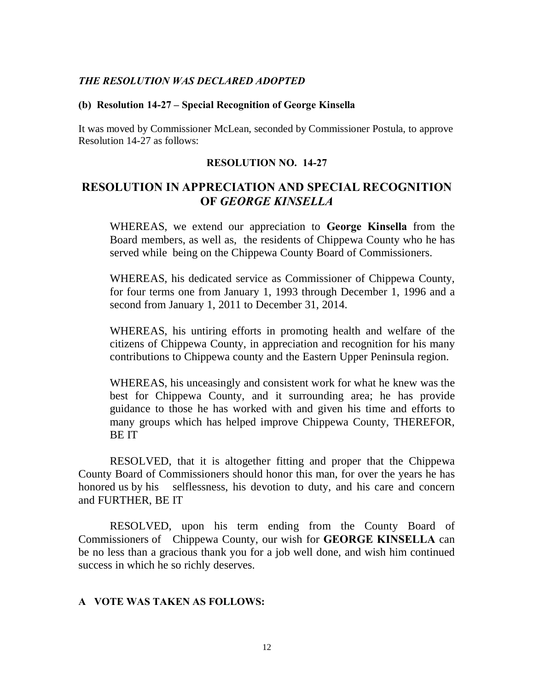#### *THE RESOLUTION WAS DECLARED ADOPTED*

#### **(b) Resolution 14-27 – Special Recognition of George Kinsella**

It was moved by Commissioner McLean, seconded by Commissioner Postula, to approve Resolution 14-27 as follows:

#### **RESOLUTION NO. 14-27**

# **RESOLUTION IN APPRECIATION AND SPECIAL RECOGNITION OF** *GEORGE KINSELLA*

WHEREAS, we extend our appreciation to **George Kinsella** from the Board members, as well as, the residents of Chippewa County who he has served while being on the Chippewa County Board of Commissioners.

WHEREAS, his dedicated service as Commissioner of Chippewa County, for four terms one from January 1, 1993 through December 1, 1996 and a second from January 1, 2011 to December 31, 2014.

WHEREAS, his untiring efforts in promoting health and welfare of the citizens of Chippewa County, in appreciation and recognition for his many contributions to Chippewa county and the Eastern Upper Peninsula region.

WHEREAS, his unceasingly and consistent work for what he knew was the best for Chippewa County, and it surrounding area; he has provide guidance to those he has worked with and given his time and efforts to many groups which has helped improve Chippewa County, THEREFOR, BE IT

RESOLVED, that it is altogether fitting and proper that the Chippewa County Board of Commissioners should honor this man, for over the years he has honored us by his selflessness, his devotion to duty, and his care and concern and FURTHER, BE IT

RESOLVED, upon his term ending from the County Board of Commissioners of Chippewa County, our wish for **GEORGE KINSELLA** can be no less than a gracious thank you for a job well done, and wish him continued success in which he so richly deserves.

#### **A VOTE WAS TAKEN AS FOLLOWS:**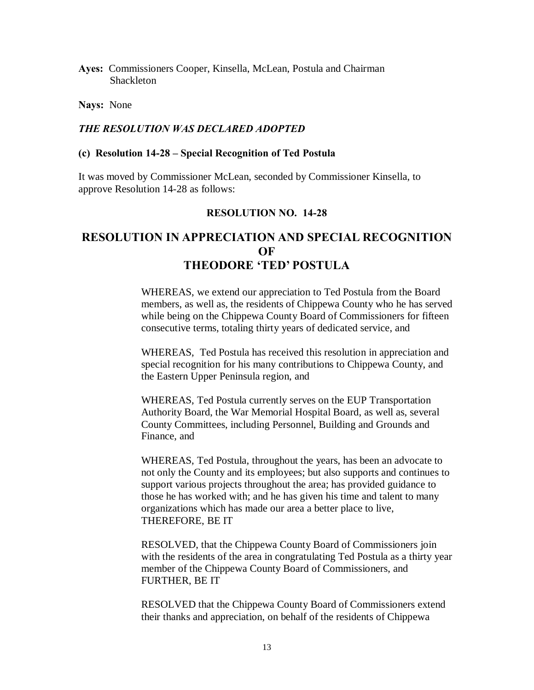**Ayes:** Commissioners Cooper, Kinsella, McLean, Postula and Chairman Shackleton

**Nays:** None

#### *THE RESOLUTION WAS DECLARED ADOPTED*

#### **(c) Resolution 14-28 – Special Recognition of Ted Postula**

It was moved by Commissioner McLean, seconded by Commissioner Kinsella, to approve Resolution 14-28 as follows:

#### **RESOLUTION NO. 14-28**

# **RESOLUTION IN APPRECIATION AND SPECIAL RECOGNITION OF THEODORE 'TED' POSTULA**

WHEREAS, we extend our appreciation to Ted Postula from the Board members, as well as, the residents of Chippewa County who he has served while being on the Chippewa County Board of Commissioners for fifteen consecutive terms, totaling thirty years of dedicated service, and

WHEREAS, Ted Postula has received this resolution in appreciation and special recognition for his many contributions to Chippewa County, and the Eastern Upper Peninsula region, and

WHEREAS, Ted Postula currently serves on the EUP Transportation Authority Board, the War Memorial Hospital Board, as well as, several County Committees, including Personnel, Building and Grounds and Finance, and

WHEREAS, Ted Postula, throughout the years, has been an advocate to not only the County and its employees; but also supports and continues to support various projects throughout the area; has provided guidance to those he has worked with; and he has given his time and talent to many organizations which has made our area a better place to live, THEREFORE, BE IT

RESOLVED, that the Chippewa County Board of Commissioners join with the residents of the area in congratulating Ted Postula as a thirty year member of the Chippewa County Board of Commissioners, and FURTHER, BE IT

RESOLVED that the Chippewa County Board of Commissioners extend their thanks and appreciation, on behalf of the residents of Chippewa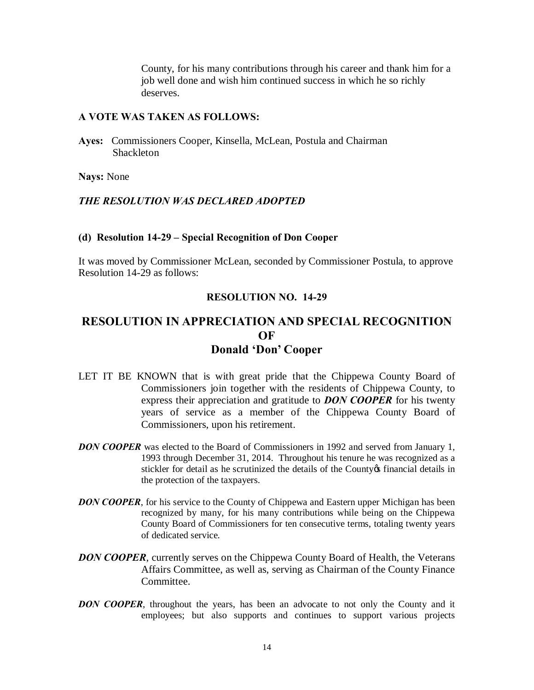County, for his many contributions through his career and thank him for a job well done and wish him continued success in which he so richly deserves.

#### **A VOTE WAS TAKEN AS FOLLOWS:**

**Ayes:** Commissioners Cooper, Kinsella, McLean, Postula and Chairman Shackleton

**Nays:** None

#### *THE RESOLUTION WAS DECLARED ADOPTED*

#### **(d) Resolution 14-29 – Special Recognition of Don Cooper**

It was moved by Commissioner McLean, seconded by Commissioner Postula, to approve Resolution 14-29 as follows:

#### **RESOLUTION NO. 14-29**

# **RESOLUTION IN APPRECIATION AND SPECIAL RECOGNITION OF Donald 'Don' Cooper**

- LET IT BE KNOWN that is with great pride that the Chippewa County Board of Commissioners join together with the residents of Chippewa County, to express their appreciation and gratitude to *DON COOPER* for his twenty years of service as a member of the Chippewa County Board of Commissioners, upon his retirement.
- **DON COOPER** was elected to the Board of Commissioners in 1992 and served from January 1, 1993 through December 31, 2014. Throughout his tenure he was recognized as a stickler for detail as he scrutinized the details of the County of financial details in the protection of the taxpayers.
- **DON COOPER**, for his service to the County of Chippewa and Eastern upper Michigan has been recognized by many, for his many contributions while being on the Chippewa County Board of Commissioners for ten consecutive terms, totaling twenty years of dedicated service.
- **DON COOPER**, currently serves on the Chippewa County Board of Health, the Veterans Affairs Committee, as well as, serving as Chairman of the County Finance Committee.
- *DON COOPER*, throughout the years, has been an advocate to not only the County and it employees; but also supports and continues to support various projects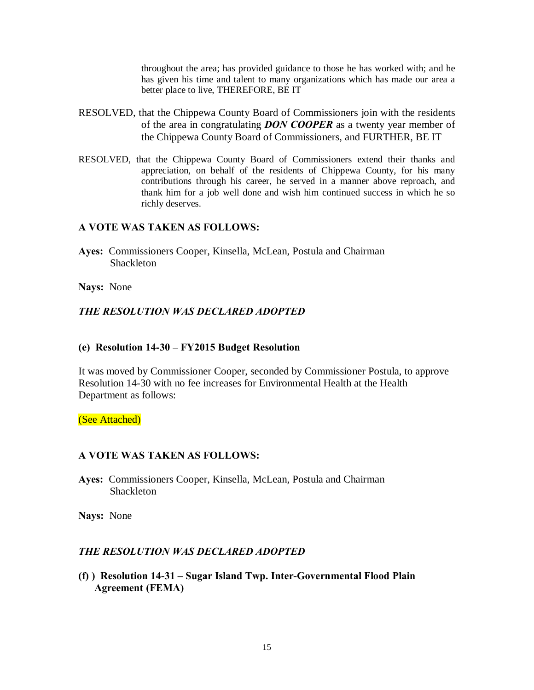throughout the area; has provided guidance to those he has worked with; and he has given his time and talent to many organizations which has made our area a better place to live, THEREFORE, BE IT

- RESOLVED, that the Chippewa County Board of Commissioners join with the residents of the area in congratulating *DON COOPER* as a twenty year member of the Chippewa County Board of Commissioners, and FURTHER, BE IT
- RESOLVED, that the Chippewa County Board of Commissioners extend their thanks and appreciation, on behalf of the residents of Chippewa County, for his many contributions through his career, he served in a manner above reproach, and thank him for a job well done and wish him continued success in which he so richly deserves.

#### **A VOTE WAS TAKEN AS FOLLOWS:**

**Ayes:** Commissioners Cooper, Kinsella, McLean, Postula and Chairman Shackleton

**Nays:** None

## *THE RESOLUTION WAS DECLARED ADOPTED*

#### **(e) Resolution 14-30 – FY2015 Budget Resolution**

It was moved by Commissioner Cooper, seconded by Commissioner Postula, to approve Resolution 14-30 with no fee increases for Environmental Health at the Health Department as follows:

(See Attached)

#### **A VOTE WAS TAKEN AS FOLLOWS:**

**Ayes:** Commissioners Cooper, Kinsella, McLean, Postula and Chairman **Shackleton** 

**Nays:** None

## *THE RESOLUTION WAS DECLARED ADOPTED*

**(f) ) Resolution 14-31 – Sugar Island Twp. Inter-Governmental Flood Plain Agreement (FEMA)**